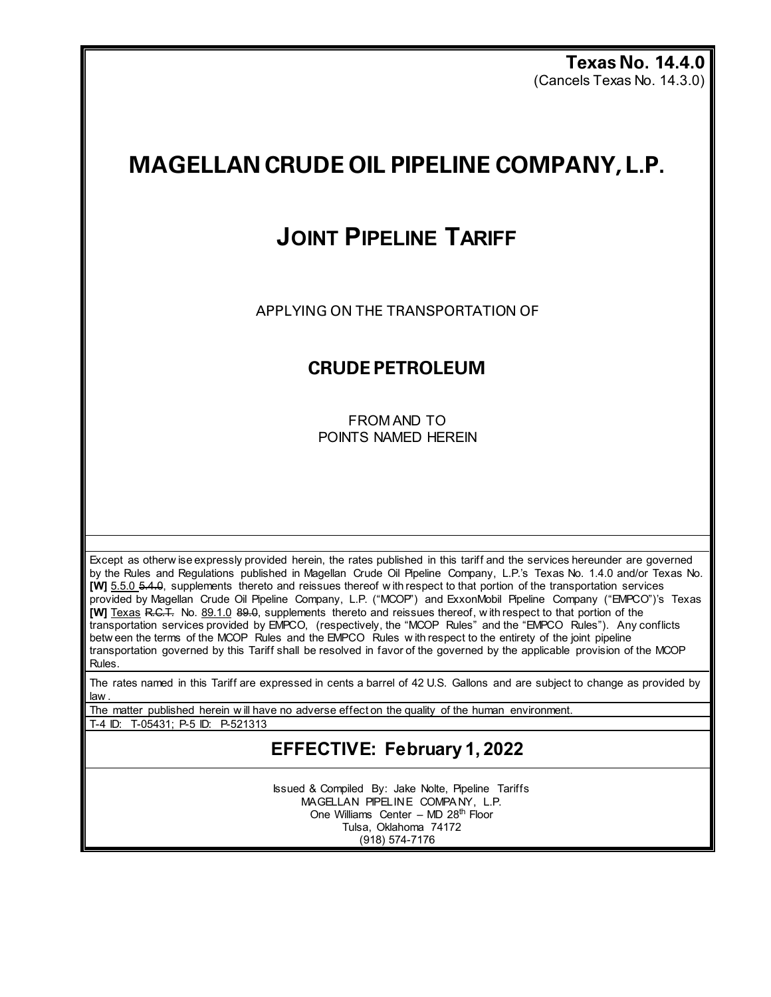**Texas No. 14.4.0** (Cancels Texas No. 14.3.0)

# **MAGELLAN CRUDE OIL PIPELINE COMPANY, L.P.**

## **JOINT PIPELINE TARIFF**

APPLYING ON THE TRANSPORTATION OF

### **CRUDE PETROLEUM**

FROM AND TO POINTS NAMED HEREIN

Except as otherw ise expressly provided herein, the rates published in this tariff and the services hereunder are governed by the Rules and Regulations published in Magellan Crude Oil Pipeline Company, L.P.'s Texas No. 1.4.0 and/or Texas No. **[W]** 5.5.0 5.4.0, supplements thereto and reissues thereof w ith respect to that portion of the transportation services provided by Magellan Crude Oil Pipeline Company, L.P. ("MCOP") and ExxonMobil Pipeline Company ("EMPCO")'s Texas **[W]** Texas R.C.T. No. 89.1.0 89.0, supplements thereto and reissues thereof, w ith respect to that portion of the transportation services provided by EMPCO, (respectively, the "MCOP Rules" and the "EMPCO Rules"). Any conflicts betw een the terms of the MCOP Rules and the EMPCO Rules w ith respect to the entirety of the joint pipeline transportation governed by this Tariff shall be resolved in favor of the governed by the applicable provision of the MCOP Rules.

The rates named in this Tariff are expressed in cents a barrel of 42 U.S. Gallons and are subject to change as provided by law .

The matter published herein w ill have no adverse effect on the quality of the human environment.

T-4 ID: T-05431; P-5 ID: P-521313

### **EFFECTIVE: February 1, 2022**

Issued & Compiled By: Jake Nolte, Pipeline Tariffs MAGELLAN PIPELINE COMPA NY, L.P. One Williams Center – MD  $28<sup>th</sup>$  Floor Tulsa, Oklahoma 74172 (918) 574-7176